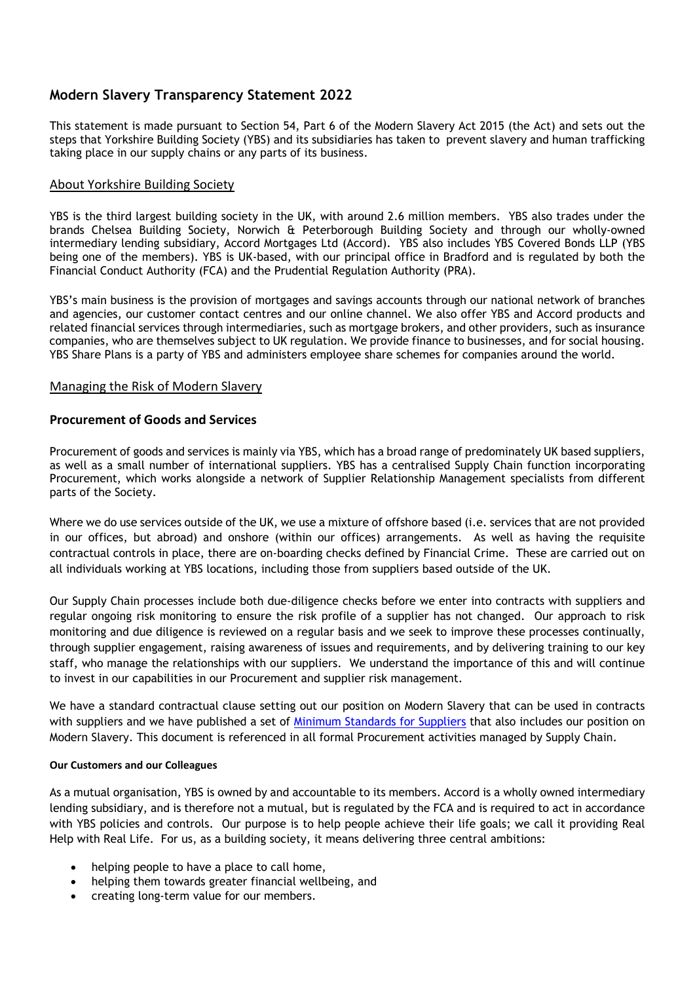# **Modern Slavery Transparency Statement 2022**

This statement is made pursuant to Section 54, Part 6 of the Modern Slavery Act 2015 (the Act) and sets out the steps that Yorkshire Building Society (YBS) and its subsidiaries has taken to prevent slavery and human trafficking taking place in our supply chains or any parts of its business.

# About Yorkshire Building Society

YBS is the third largest building society in the UK, with around 2.6 million members. YBS also trades under the brands Chelsea Building Society, Norwich & Peterborough Building Society and through our wholly-owned intermediary lending subsidiary, Accord Mortgages Ltd (Accord). YBS also includes YBS Covered Bonds LLP (YBS being one of the members). YBS is UK-based, with our principal office in Bradford and is regulated by both the Financial Conduct Authority (FCA) and the Prudential Regulation Authority (PRA).

YBS's main business is the provision of mortgages and savings accounts through our national network of branches and agencies, our customer contact centres and our online channel. We also offer YBS and Accord products and related financial services through intermediaries, such as mortgage brokers, and other providers, such as insurance companies, who are themselves subject to UK regulation. We provide finance to businesses, and for social housing. YBS Share Plans is a party of YBS and administers employee share schemes for companies around the world.

## Managing the Risk of Modern Slavery

# **Procurement of Goods and Services**

Procurement of goods and services is mainly via YBS, which has a broad range of predominately UK based suppliers, as well as a small number of international suppliers. YBS has a centralised Supply Chain function incorporating Procurement, which works alongside a network of Supplier Relationship Management specialists from different parts of the Society.

Where we do use services outside of the UK, we use a mixture of offshore based (i.e. services that are not provided in our offices, but abroad) and onshore (within our offices) arrangements. As well as having the requisite contractual controls in place, there are on-boarding checks defined by Financial Crime. These are carried out on all individuals working at YBS locations, including those from suppliers based outside of the UK.

Our Supply Chain processes include both due-diligence checks before we enter into contracts with suppliers and regular ongoing risk monitoring to ensure the risk profile of a supplier has not changed. Our approach to risk monitoring and due diligence is reviewed on a regular basis and we seek to improve these processes continually, through supplier engagement, raising awareness of issues and requirements, and by delivering training to our key staff, who manage the relationships with our suppliers. We understand the importance of this and will continue to invest in our capabilities in our Procurement and supplier risk management.

We have a standard contractual clause setting out our position on Modern Slavery that can be used in contracts with suppliers and we have published a set of [Minimum Standards for Suppliers](https://www.ybs.co.uk/your-society/inside-your-society/corporate-governance/policies/index.html) that also includes our position on Modern Slavery. This document is referenced in all formal Procurement activities managed by Supply Chain.

## **Our Customers and our Colleagues**

As a mutual organisation, YBS is owned by and accountable to its members. Accord is a wholly owned intermediary lending subsidiary, and is therefore not a mutual, but is regulated by the FCA and is required to act in accordance with YBS policies and controls. Our purpose is to help people achieve their life goals; we call it providing Real Help with Real Life. For us, as a building society, it means delivering three central ambitions:

- helping people to have a place to call home,
- helping them towards greater financial wellbeing, and
- creating long-term value for our members.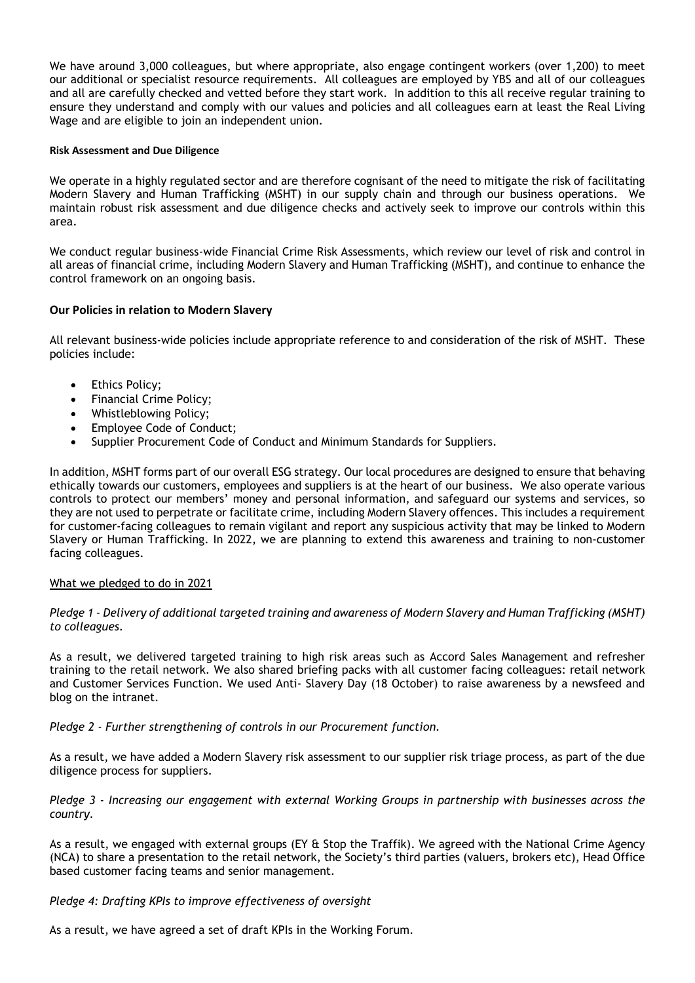We have around 3,000 colleagues, but where appropriate, also engage contingent workers (over 1,200) to meet our additional or specialist resource requirements. All colleagues are employed by YBS and all of our colleagues and all are carefully checked and vetted before they start work. In addition to this all receive regular training to ensure they understand and comply with our values and policies and all colleagues earn at least the Real Living Wage and are eligible to join an independent union.

#### **Risk Assessment and Due Diligence**

We operate in a highly regulated sector and are therefore cognisant of the need to mitigate the risk of facilitating Modern Slavery and Human Trafficking (MSHT) in our supply chain and through our business operations. We maintain robust risk assessment and due diligence checks and actively seek to improve our controls within this area.

We conduct regular business-wide Financial Crime Risk Assessments, which review our level of risk and control in all areas of financial crime, including Modern Slavery and Human Trafficking (MSHT), and continue to enhance the control framework on an ongoing basis.

## **Our Policies in relation to Modern Slavery**

All relevant business-wide policies include appropriate reference to and consideration of the risk of MSHT. These policies include:

- **Ethics Policy:**
- Financial Crime Policy;
- Whistleblowing Policy;
- Employee Code of Conduct;
- Supplier Procurement Code of Conduct and Minimum Standards for Suppliers.

In addition, MSHT forms part of our overall ESG strategy. Our local procedures are designed to ensure that behaving ethically towards our customers, employees and suppliers is at the heart of our business. We also operate various controls to protect our members' money and personal information, and safeguard our systems and services, so they are not used to perpetrate or facilitate crime, including Modern Slavery offences. This includes a requirement for customer-facing colleagues to remain vigilant and report any suspicious activity that may be linked to Modern Slavery or Human Trafficking. In 2022, we are planning to extend this awareness and training to non-customer facing colleagues.

## What we pledged to do in 2021

## *Pledge 1 - Delivery of additional targeted training and awareness of Modern Slavery and Human Trafficking (MSHT) to colleagues*.

As a result, we delivered targeted training to high risk areas such as Accord Sales Management and refresher training to the retail network. We also shared briefing packs with all customer facing colleagues: retail network and Customer Services Function. We used Anti- Slavery Day (18 October) to raise awareness by a newsfeed and blog on the intranet.

*Pledge 2 - Further strengthening of controls in our Procurement function.*

As a result, we have added a Modern Slavery risk assessment to our supplier risk triage process, as part of the due diligence process for suppliers.

*Pledge 3 - Increasing our engagement with external Working Groups in partnership with businesses across the country.*

As a result, we engaged with external groups (EY & Stop the Traffik). We agreed with the National Crime Agency (NCA) to share a presentation to the retail network, the Society's third parties (valuers, brokers etc), Head Office based customer facing teams and senior management.

*Pledge 4: Drafting KPIs to improve effectiveness of oversight*

As a result, we have agreed a set of draft KPIs in the Working Forum.